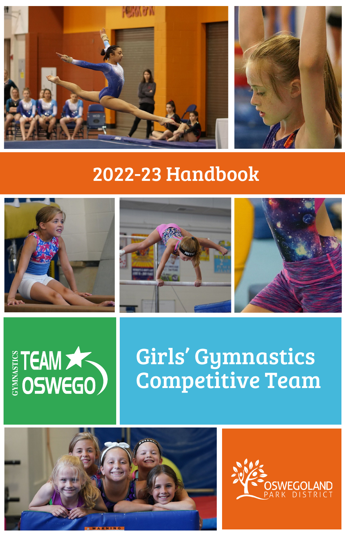

# 2022-23 Handbook





# Girls' Gymnastics Competitive Team





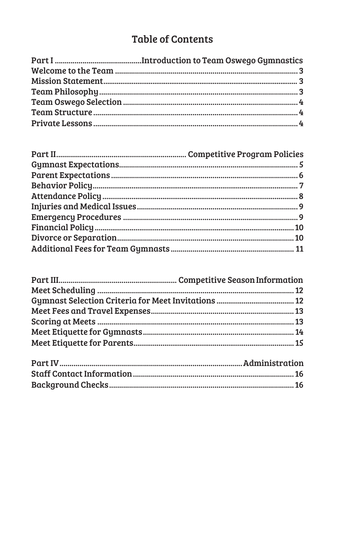# **Table of Contents**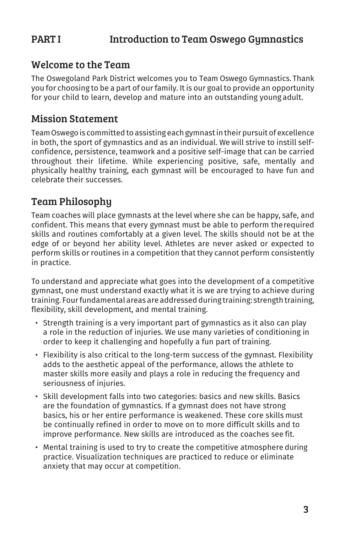# PART I Introduction to Team Oswego Gymnastics

#### Welcome to the Team

The Oswegoland Park District welcomes you to Team Oswego Gymnastics. Thank you for choosing to be a part of our family. It is our goal to provide an opportunity for your child to learn, develop and mature into an outstanding young adult.

#### <span id="page-2-0"></span>Mission Statement

Team Oswego is committed to assisting each gymnast in their pursuit of excellence in both, the sport of gymnastics and as an individual. We will strive to instill selfconfidence, persistence, teamwork and a positive self-image that can be carried throughout their lifetime. While experiencing positive, safe, mentally and physically healthy training, each gymnast will be encouraged to have fun and celebrate their successes.

### <span id="page-2-1"></span>Team Philosophy

Team coaches will place gymnasts at the level where she can be happy, safe, and confident. This means that every gymnast must be able to perform therequired skills and routines comfortably at a given level. The skills should not be at the edge of or beyond her ability level. Athletes are never asked or expected to perform skills or routines in a competition that they cannot perform consistently in practice.

To understand and appreciate what goes into the development of a competitive gymnast, one must understand exactly what it is we are trying to achieve during training. Fourfundamental areas are addressed during training: strength training, flexibility, skill development, and mental training.

- Strength training is a very important part of gymnastics as it also can play a role in the reduction of injuries. We use many varieties of conditioning in order to keep it challenging and hopefully a fun part of training.
- Flexibility is also critical to the long-term success of the gymnast. Flexibility adds to the aesthetic appeal of the performance, allows the athlete to master skills more easily and plays a role in reducing the frequency and seriousness of injuries.
- Skill development falls into two categories: basics and new skills. Basics are the foundation of gymnastics. If a gymnast does not have strong basics, his or her entire performance is weakened. These core skills must be continually refined in order to move on to more difficult skills and to improve performance. New skills are introduced as the coaches see fit.
- Mental training is used to try to create the competitive atmosphere during practice. Visualization techniques are practiced to reduce or eliminate anxiety that may occur at competition.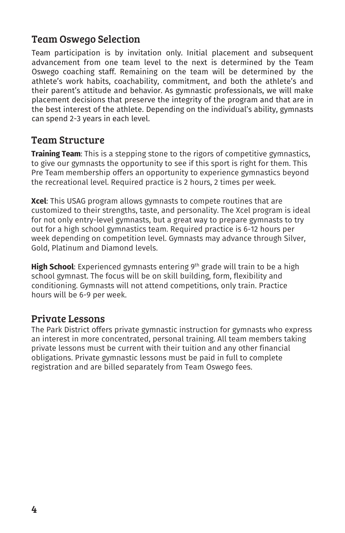### <span id="page-3-0"></span>Team Oswego Selection

Team participation is by invitation only. Initial placement and subsequent advancement from one team level to the next is determined by the Team Oswego coaching staff. Remaining on the team will be determined by the athlete's work habits, coachability, commitment, and both the athlete's and their parent's attitude and behavior. As gymnastic professionals, we will make placement decisions that preserve the integrity of the program and that are in the best interest of the athlete. Depending on the individual's ability, gymnasts can spend 2-3 years in each level.

#### <span id="page-3-1"></span>Team Structure

**Training Team**: This is a stepping stone to the rigors of competitive gymnastics, to give our gymnasts the opportunity to see if this sport is right for them. This Pre Team membership offers an opportunity to experience gymnastics beyond the recreational level. Required practice is 2 hours, 2 times per week.

**High School**: Experienced gymnasts entering 9<sup>th</sup> grade will train to be a high school gymnast. The focus will be on skill building, form, flexibility and conditioning. Gymnasts will not attend competitions, only train. Practice hours will be 6-9 per week.

**Xcel**: This USAG program allows gymnasts to compete routines that are customized to their strengths, taste, and personality. The Xcel program is ideal for not only entry-level gymnasts, but a great way to prepare gymnasts to try out for a high school gymnastics team. Required practice is 6-12 hours per week depending on competition level. Gymnasts may advance through Silver, Gold, Platinum and Diamond levels.

#### <span id="page-3-2"></span>Private Lessons

The Park District offers private gymnastic instruction for gymnasts who express an interest in more concentrated, personal training. All team members taking private lessons must be current with their tuition and any other financial obligations. Private gymnastic lessons must be paid in full to complete registration and are billed separately from Team Oswego fees.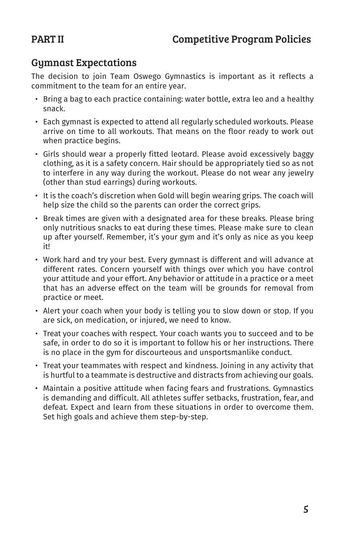#### <span id="page-4-1"></span><span id="page-4-0"></span>Gymnast Expectations

The decision to join Team Oswego Gymnastics is important as it reflects a commitment to the team for an entire year.

- Bring a bag to each practice containing: water bottle, extra leo and a healthy snack.
- Each gymnast is expected to attend all regularly scheduled workouts. Please arrive on time to all workouts. That means on the floor ready to work out when practice begins.
- Girls should wear a properly fitted leotard. Please avoid excessively baggy clothing, as it is a safety concern. Hair should be appropriately tied so as not to interfere in any way during the workout. Please do not wear any jewelry (other than stud earrings) during workouts.
- It is the coach's discretion when Gold will begin wearing grips. The coach will help size the child so the parents can order the correct grips.
- Break times are given with a designated area for these breaks. Please bring only nutritious snacks to eat during these times. Please make sure to clean up after yourself. Remember, it's your gym and it's only as nice as you keep it!
- Work hard and try your best. Every gymnast is different and will advance at different rates. Concern yourself with things over which you have control your attitude and your effort. Any behavior or attitude in a practice or a meet that has an adverse effect on the team will be grounds for removal from practice or meet.
- Alert your coach when your body is telling you to slow down or stop. If you are sick, on medication, or injured, we need to know.
- Treat your coaches with respect. Your coach wants you to succeed and to be safe, in order to do so it is important to follow his or her instructions. There is no place in the gym for discourteous and unsportsmanlike conduct.
- Treat your teammates with respect and kindness. Joining in any activity that is hurtful to a teammate is destructive and distracts from achieving our goals.
- Maintain a positive attitude when facing fears and frustrations. Gymnastics

is demanding and difficult. All athletes suffer setbacks, frustration, fear, and defeat. Expect and learn from these situations in order to overcome them. Set high goals and achieve them step-by-step.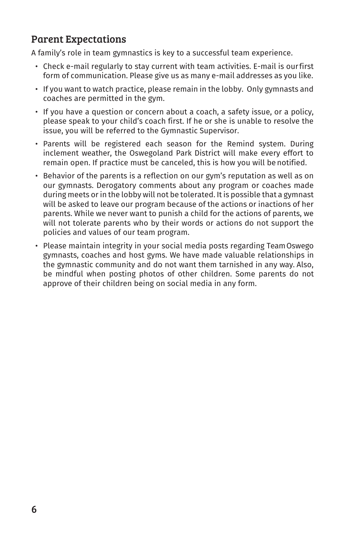## <span id="page-5-0"></span>Parent Expectations

A family's role in team gymnastics is key to a successful team experience.

- Check e-mail regularly to stay current with team activities. E-mail is ourfirst form of communication. Please give us as many e-mail addresses as you like.
- If you want to watch practice, please remain in the lobby. Only gymnasts and coaches are permitted in the gym.
- If you have a question or concern about a coach, a safety issue, or a policy, please speak to your child's coach first. If he or she is unable to resolve the issue, you will be referred to the Gymnastic Supervisor.
- Parents will be registered each season for the Remind system. During inclement weather, the Oswegoland Park District will make every effort to remain open. If practice must be canceled, this is how you will benotified.
- Behavior of the parents is a reflection on our gym's reputation as well as on our gymnasts. Derogatory comments about any program or coaches made during meets orin the lobby will not be tolerated. It is possible that a gymnast will be asked to leave our program because of the actions or inactions of her parents. While we never want to punish a child for the actions of parents, we will not tolerate parents who by their words or actions do not support the policies and values of our team program.
- Please maintain integrity in your social media posts regarding TeamOswego gymnasts, coaches and host gyms. We have made valuable relationships in the gymnastic community and do not want them tarnished in any way. Also, be mindful when posting photos of other children. Some parents do not approve of their children being on social media in any form.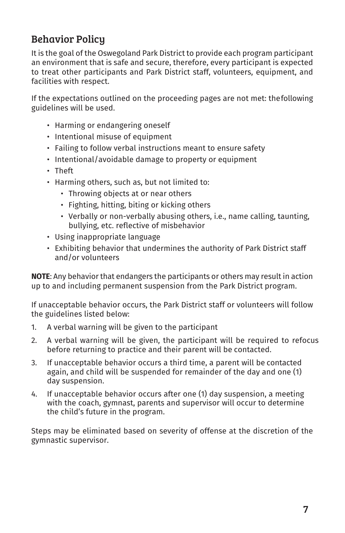# <span id="page-6-0"></span>Behavior Policy

It is the goal of the Oswegoland Park District to provide each program participant an environment that is safe and secure, therefore, every participant is expected to treat other participants and Park District staff, volunteers, equipment, and facilities with respect.

If the expectations outlined on the proceeding pages are not met: thefollowing guidelines will be used.

- Harming or endangering oneself
- Intentional misuse of equipment
- Failing to follow verbal instructions meant to ensure safety
- Intentional/avoidable damage to property or equipment
- Theft
- Harming others, such as, but not limited to:
	- Throwing objects at or near others
	- Fighting, hitting, biting or kicking others
	- Verbally or non-verbally abusing others, i.e., name calling, taunting, bullying, etc. reflective of misbehavior
- Using inappropriate language
- Exhibiting behavior that undermines the authority of Park District staff and/or volunteers

**NOTE**: Any behavior that endangers the participants or others may result in action up to and including permanent suspension from the Park District program.

If unacceptable behavior occurs, the Park District staff or volunteers will follow the guidelines listed below:

- 1. A verbal warning will be given to the participant
- 2. A verbal warning will be given, the participant will be required to refocus before returning to practice and their parent will be contacted.
- 3. If unacceptable behavior occurs a third time, a parent will be contacted again, and child will be suspended for remainder of the day and one (1) day suspension.
- 4. If unacceptable behavior occurs after one (1) day suspension, a meeting with the coach, gymnast, parents and supervisor will occur to determine the child's future in the program.

Steps may be eliminated based on severity of offense at the discretion of the gymnastic supervisor.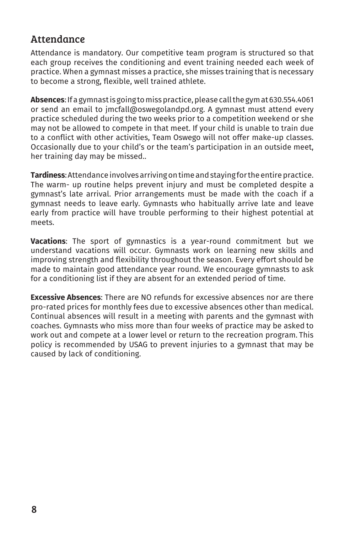### Attendance

Attendance is mandatory. Our competitive team program is structured so that each group receives the conditioning and event training needed each week of practice. When a gymnast misses a practice, she misses training that is necessary to become a strong, flexible, well trained athlete.

Absences: If a gymnast is going to miss practice, please call the gym at 630.554.4061 or send an email to [jmcfall@oswegolandpd.org. A](mailto:jmcfall@oswegolandpd.org) gymnast must attend every practice scheduled during the two weeks prior to a competition weekend or she may not be allowed to compete in that meet. If your child is unable to train due to a conflict with other activities, Team Oswego will not offer make-up classes. Occasionally due to your child's or the team's participation in an outside meet, her training day may be missed..

**Tardiness:** Attendance involves arriving on time and staying for the entire practice. The warm- up routine helps prevent injury and must be completed despite a gymnast's late arrival. Prior arrangements must be made with the coach if a gymnast needs to leave early. Gymnasts who habitually arrive late and leave early from practice will have trouble performing to their highest potential at meets.

**Vacations**: The sport of gymnastics is a year-round commitment but we understand vacations will occur. Gymnasts work on learning new skills and improving strength and flexibility throughout the season. Every effort should be made to maintain good attendance year round. We encourage gymnasts to ask for a conditioning list if they are absent for an extended period of time.

**Excessive Absences**: There are NO refunds for excessive absences nor are there pro-rated prices for monthly fees due to excessive absences other than medical. Continual absences will result in a meeting with parents and the gymnast with coaches. Gymnasts who miss more than four weeks of practice may be asked to work out and compete at a lower level or return to the recreation program. This policy is recommended by USAG to prevent injuries to a gymnast that may be caused by lack of conditioning.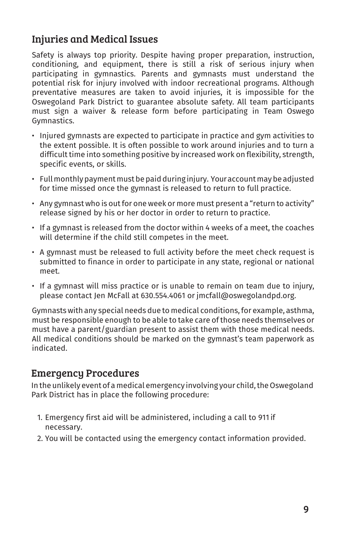# <span id="page-8-0"></span>Injuries and Medical Issues

Safety is always top priority. Despite having proper preparation, instruction, conditioning, and equipment, there is still a risk of serious injury when participating in gymnastics. Parents and gymnasts must understand the potential risk for injury involved with indoor recreational programs. Although preventative measures are taken to avoid injuries, it is impossible for the Oswegoland Park District to guarantee absolute safety. All team participants must sign a waiver & release form before participating in Team Oswego Gymnastics.

In the unlikely event of a medical emergency involving your child, the Oswegoland Park District has in place the following procedure:

- Injured gymnasts are expected to participate in practice and gym activities to the extent possible. It is often possible to work around injuries and to turn a difficult time into something positive by increased work on flexibility, strength, specific events, or skills.
- Fullmonthlypaymentmustbepaidduring injury. Youraccountmaybeadjusted for time missed once the gymnast is released to return to full practice.
- Any gymnast who is outfor one week or more must present a "return to activity" release signed by his or her doctor in order to return to practice.
- If a gymnast is released from the doctor within 4 weeks of a meet, the coaches will determine if the child still competes in the meet.
- A gymnast must be released to full activity before the meet check request is submitted to finance in order to participate in any state, regional or national meet.
- If a gymnast will miss practice or is unable to remain on team due to injury, please contact Jen McFall at 630.554.4061 or [jmcfall@oswegolandpd.org.](mailto:jmcfall@oswegolandpd.org)

Gymnasts with any special needs due to medical conditions,for example, asthma, must be responsible enough to be able to take care ofthose needs themselves or must have a parent/guardian present to assist them with those medical needs. All medical conditions should be marked on the gymnast's team paperwork as indicated.

#### <span id="page-8-1"></span>Emergency Procedures

- 1. Emergency first aid will be administered, including a call to 911 if necessary.
- 2. You will be contacted using the emergency contact information provided.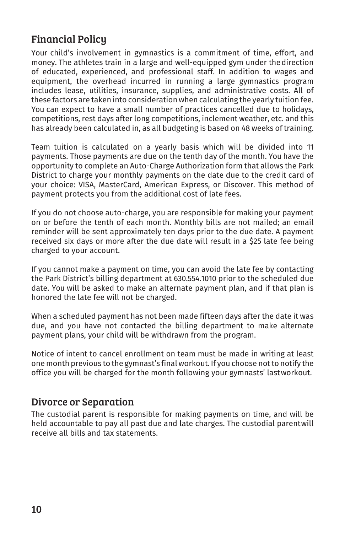# <span id="page-9-0"></span>Financial Policy

Your child's involvement in gymnastics is a commitment of time, effort, and money. The athletes train in a large and well-equipped gym under thedirection of educated, experienced, and professional staff. In addition to wages and equipment, the overhead incurred in running a large gymnastics program includes lease, utilities, insurance, supplies, and administrative costs. All of these factors are taken into consideration when calculating the yearly tuition fee. You can expect to have a small number of practices cancelled due to holidays, competitions, rest days after long competitions, inclement weather, etc. and this has already been calculated in, as all budgeting is based on 48 weeks of training.

Team tuition is calculated on a yearly basis which will be divided into 11 payments. Those payments are due on the tenth day of the month. You have the opportunity to complete an Auto-Charge Authorization form that allows the Park District to charge your monthly payments on the date due to the credit card of your choice: VISA, MasterCard, American Express, or Discover. This method of payment protects you from the additional cost of late fees.

If you do not choose auto-charge, you are responsible for making your payment on or before the tenth of each month. Monthly bills are not mailed; an email reminder will be sent approximately ten days prior to the due date. A payment received six days or more after the due date will result in a \$25 late fee being charged to your account.

If you cannot make a payment on time, you can avoid the late fee by contacting the Park District's billing department at 630.554.1010 prior to the scheduled due date. You will be asked to make an alternate payment plan, and if that plan is honored the late fee will not be charged.

When a scheduled payment has not been made fifteen days after the date it was due, and you have not contacted the billing department to make alternate payment plans, your child will be withdrawn from the program.

Notice of intent to cancel enrollment on team must be made in writing at least one month previous to the gymnast's final workout. If you choose notto notify the office you will be charged for the month following your gymnasts' lastworkout.

#### <span id="page-9-1"></span>Divorce or Separation

The custodial parent is responsible for making payments on time, and will be held accountable to pay all past due and late charges. The custodial parentwill receive all bills and tax statements.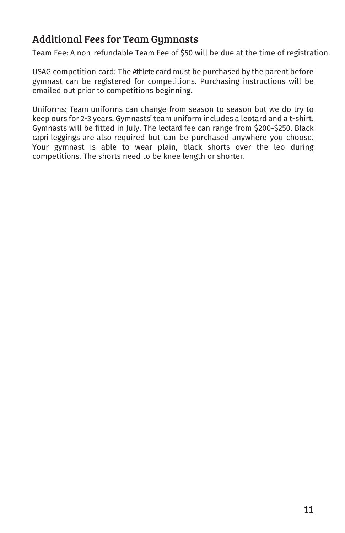## <span id="page-10-0"></span>Additional Fees for Team Gymnasts

Team Fee: A non-refundable Team Fee of \$50 will be due at the time of registration.

USAG competition card: The Athlete card must be purchased by the parent before gymnast can be registered for competitions. Purchasing instructions will be emailed out prior to competitions beginning.

Uniforms: Team uniforms can change from season to season but we do try to keep ours for 2-3 years. Gymnasts' team uniform includes a leotard and a t-shirt. Gymnasts will be fitted in July. The leotard fee can range from \$200-\$250. Black capri leggings are also required but can be purchased anywhere you choose. Your gymnast is able to wear plain, black shorts over the leo during competitions. The shorts need to be knee length or shorter.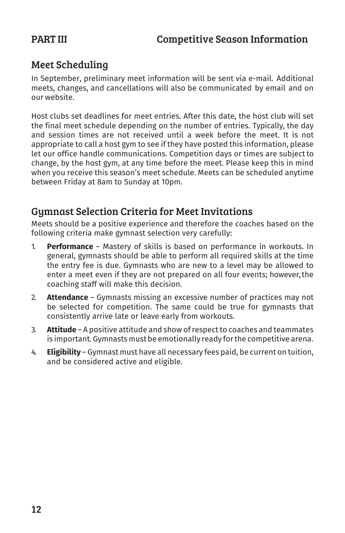### Meet Scheduling

In September, preliminary meet information will be sent via e-mail. Additional meets, changes, and cancellations will also be communicated by email and on our website.

Host clubs set deadlines for meet entries. After this date, the host club will set the final meet schedule depending on the number of entries. Typically, the day and session times are not received until a week before the meet. It is not appropriate to call a host gym to see if they have posted this information, please let our office handle communications. Competition days or times are subject to change, by the host gym, at any time before the meet. Please keep this in mind when you receive this season's meet schedule. Meets can be scheduled anytime between Friday at 8am to Sunday at 10pm.

#### <span id="page-11-0"></span>Gymnast Selection Criteria for Meet Invitations

Meets should be a positive experience and therefore the coaches based on the following criteria make gymnast selection very carefully:

- 1. **Performance**  Mastery of skills is based on performance in workouts. In general, gymnasts should be able to perform all required skills at the time the entry fee is due. Gymnasts who are new to a level may be allowed to enter a meet even if they are not prepared on all four events; however,the coaching staff will make this decision.
- 2. **Attendance**  Gymnasts missing an excessive number of practices may not be selected for competition. The same could be true for gymnasts that consistently arrive late or leave early from workouts.
- 3. **Attitude** A positive attitude and show ofrespectto coaches and teammates is important.Gymnasts must be emotionally ready forthe competitive arena.
- 4. **Eligibility** Gymnast must have all necessary fees paid, be current on tuition, and be considered active and eligible.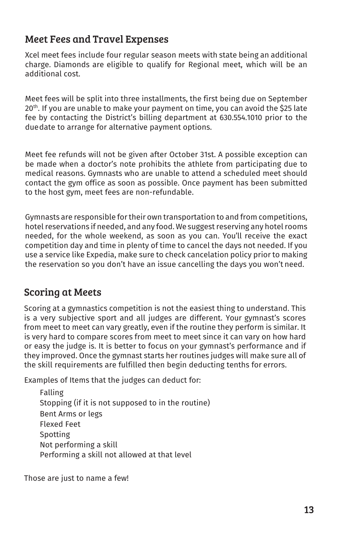## <span id="page-12-0"></span>Meet Fees and Travel Expenses

Xcel meet fees include four regular season meets with state being an additional charge. Diamonds are eligible to qualify for Regional meet, which will be an additional cost.

Meet fees will be split into three installments, the first being due on September 20<sup>th</sup>. If you are unable to make your payment on time, you can avoid the \$25 late fee by contacting the District's billing department at 630.554.1010 prior to the duedate to arrange for alternative payment options.

Meet fee refunds will not be given after October 31st. A possible exception can be made when a doctor's note prohibits the athlete from participating due to medical reasons. Gymnasts who are unable to attend a scheduled meet should contact the gym office as soon as possible. Once payment has been submitted to the host gym, meet fees are non-refundable.

Gymnasts are responsible fortheir own transportation to and from competitions, hotel reservations if needed, and any food. We suggest reserving any hotel rooms needed, for the whole weekend, as soon as you can. You'll receive the exact competition day and time in plenty of time to cancel the days not needed. If you use a service like Expedia, make sure to check cancelation policy prior to making the reservation so you don't have an issue cancelling the days you won't need.

#### <span id="page-12-1"></span>Scoring at Meets

Scoring at a gymnastics competition is not the easiest thing to understand. This is a very subjective sport and all judges are different. Your gymnast's scores from meet to meet can vary greatly, even if the routine they perform is similar. It is very hard to compare scores from meet to meet since it can vary on how hard or easy the judge is. It is better to focus on your gymnast's performance and if they improved. Once the gymnast starts her routines judges will make sure all of the skill requirements are fulfilled then begin deducting tenths for errors.

Examples of Items that the judges can deduct for:

Falling Stopping (if it is not supposed to in the routine) Bent Arms or legs Flexed Feet Spotting Not performing a skill Performing a skill not allowed at that level

Those are just to name a few!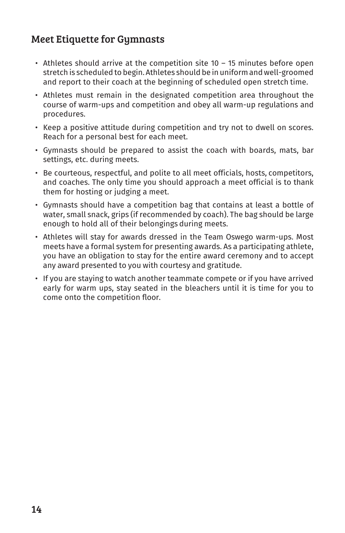### <span id="page-13-0"></span>Meet Etiquette for Gymnasts

- Athletes should arrive at the competition site 10 15 minutes before open stretch is scheduled to begin. Athletes should be in uniform and well-groomed and report to their coach at the beginning of scheduled open stretch time.
- Athletes must remain in the designated competition area throughout the course of warm-ups and competition and obey all warm-up regulations and procedures.
- Keep a positive attitude during competition and try not to dwell on scores. Reach for a personal best for each meet.
- Gymnasts should be prepared to assist the coach with boards, mats, bar settings, etc. during meets.
- Be courteous, respectful, and polite to all meet officials, hosts, competitors, and coaches. The only time you should approach a meet official is to thank them for hosting or judging a meet.
- Gymnasts should have a competition bag that contains at least a bottle of water, small snack, grips (if recommended by coach). The bag should be large enough to hold all of their belongings during meets.
- Athletes will stay for awards dressed in the Team Oswego warm-ups. Most meets have a formal system for presenting awards. As a participating athlete, you have an obligation to stay for the entire award ceremony and to accept any award presented to you with courtesy and gratitude.
- If you are staying to watch another teammate compete or if you have arrived early for warm ups, stay seated in the bleachers until it is time for you to come onto the competition floor.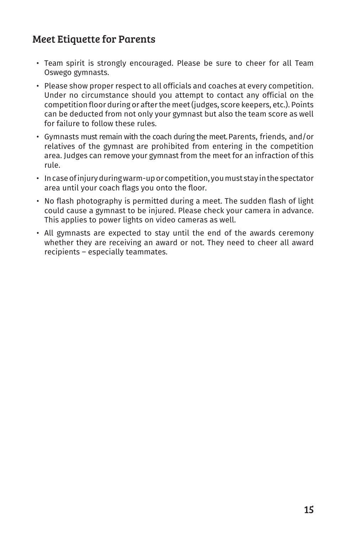## <span id="page-14-0"></span>Meet Etiquette for Parents

- Team spirit is strongly encouraged. Please be sure to cheer for all Team Oswego gymnasts.
- Please show proper respect to all officials and coaches at every competition. Under no circumstance should you attempt to contact any official on the competition floor during or afterthe meet(judges, score keepers, etc.). Points can be deducted from not only your gymnast but also the team score as well for failure to follow these rules.
- Gymnasts must remain with the coach during the meet. Parents, friends, and/or relatives of the gymnast are prohibited from entering in the competition area. Judges can remove your gymnast from the meet for an infraction of this rule.
- Incaseofinjuryduringwarm-upor competition, youmust stay inthespectator area until your coach flags you onto the floor.
- No flash photography is permitted during a meet. The sudden flash of light could cause a gymnast to be injured. Please check your camera in advance. This applies to power lights on video cameras as well.
- All gymnasts are expected to stay until the end of the awards ceremony whether they are receiving an award or not. They need to cheer all award recipients – especially teammates.